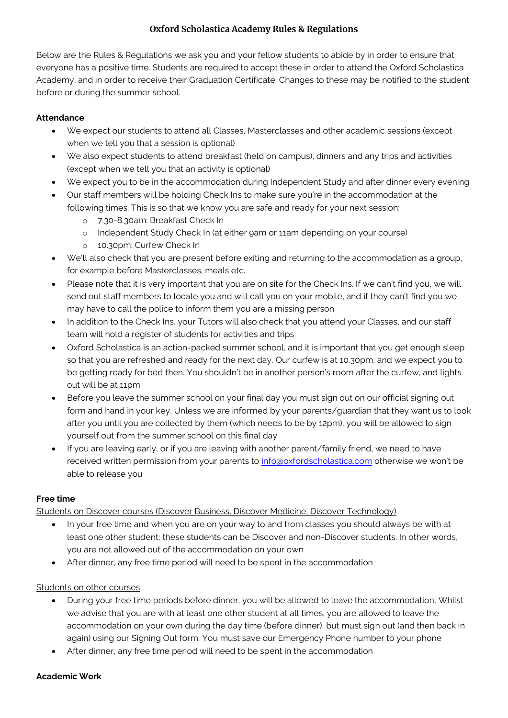# **Oxford Scholastica Academy Rules & Regulations**

Below are the Rules & Regulations we ask you and your fellow students to abide by in order to ensure that everyone has a positive time. Students are required to accept these in order to attend the Oxford Scholastica Academy, and in order to receive their Graduation Certificate. Changes to these may be notified to the student before or during the summer school.

### **Attendance**

- We expect our students to attend all Classes, Masterclasses and other academic sessions (except when we tell you that a session is optional)
- We also expect students to attend breakfast (held on campus), dinners and any trips and activities (except when we tell you that an activity is optional)
- We expect you to be in the accommodation during Independent Study and after dinner every evening
- Our staff members will be holding Check Ins to make sure you're in the accommodation at the following times. This is so that we know you are safe and ready for your next session:
	- o 7.30-8.30am: Breakfast Check In
	- o Independent Study Check In (at either 9am or 11am depending on your course)
	- o 10.30pm: Curfew Check In
- We'll also check that you are present before exiting and returning to the accommodation as a group, for example before Masterclasses, meals etc.
- Please note that it is very important that you are on site for the Check Ins. If we can't find you, we will send out staff members to locate you and will call you on your mobile, and if they can't find you we may have to call the police to inform them you are a missing person
- In addition to the Check Ins, your Tutors will also check that you attend your Classes, and our staff team will hold a register of students for activities and trips
- Oxford Scholastica is an action-packed summer school, and it is important that you get enough sleep so that you are refreshed and ready for the next day. Our curfew is at 10.30pm, and we expect you to be getting ready for bed then. You shouldn't be in another person's room after the curfew, and lights out will be at 11pm
- Before you leave the summer school on your final day you must sign out on our official signing out form and hand in your key. Unless we are informed by your parents/guardian that they want us to look after you until you are collected by them (which needs to be by 12pm), you will be allowed to sign yourself out from the summer school on this final day
- If you are leaving early, or if you are leaving with another parent/family friend, we need to have received written permission from your parents to [info@oxfordscholastica.com](mailto:info@oxfordscholastica.com) otherwise we won't be able to release you

### **Free time**

Students on Discover courses (Discover Business, Discover Medicine, Discover Technology)

- In your free time and when you are on your way to and from classes you should always be with at least one other student; these students can be Discover and non-Discover students. In other words, you are not allowed out of the accommodation on your own
- After dinner, any free time period will need to be spent in the accommodation

### Students on other courses

- During your free time periods before dinner, you will be allowed to leave the accommodation. Whilst we advise that you are with at least one other student at all times, you are allowed to leave the accommodation on your own during the day time (before dinner), but must sign out (and then back in again) using our Signing Out form. You must save our Emergency Phone number to your phone
- After dinner, any free time period will need to be spent in the accommodation

### **Academic Work**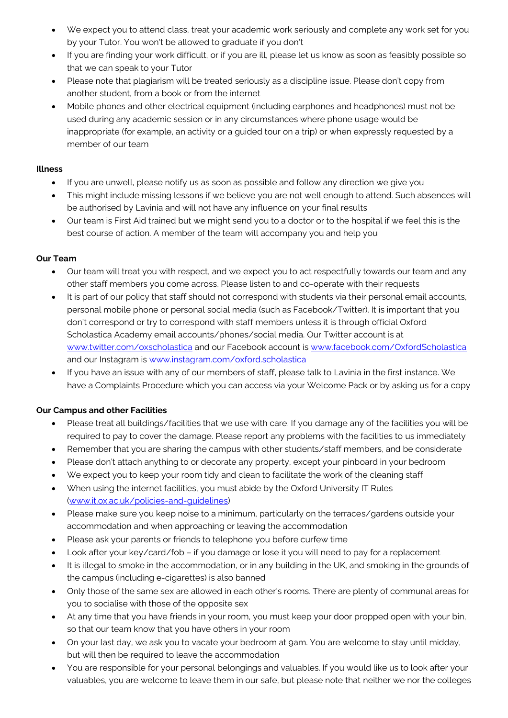- We expect you to attend class, treat your academic work seriously and complete any work set for you by your Tutor. You won't be allowed to graduate if you don't
- If you are finding your work difficult, or if you are ill, please let us know as soon as feasibly possible so that we can speak to your Tutor
- Please note that plagiarism will be treated seriously as a discipline issue. Please don't copy from another student, from a book or from the internet
- Mobile phones and other electrical equipment (including earphones and headphones) must not be used during any academic session or in any circumstances where phone usage would be inappropriate (for example, an activity or a guided tour on a trip) or when expressly requested by a member of our team

#### **Illness**

- If you are unwell, please notify us as soon as possible and follow any direction we give you
- This might include missing lessons if we believe you are not well enough to attend. Such absences will be authorised by Lavinia and will not have any influence on your final results
- Our team is First Aid trained but we might send you to a doctor or to the hospital if we feel this is the best course of action. A member of the team will accompany you and help you

### **Our Team**

- Our team will treat you with respect, and we expect you to act respectfully towards our team and any other staff members you come across. Please listen to and co-operate with their requests
- It is part of our policy that staff should not correspond with students via their personal email accounts, personal mobile phone or personal social media (such as Facebook/Twitter). It is important that you don't correspond or try to correspond with staff members unless it is through official Oxford Scholastica Academy email accounts/phones/social media. Our Twitter account is at [www.twitter.com/oxscholastica](http://www.twitter.com/oxscholastica) and our Facebook account is [www.facebook.com/OxfordScholastica](http://www.facebook.com/OxfordScholastica) and our Instagram is [www.instagram.com/oxford.scholastica](https://www.instagram.com/oxford.scholastica)
- If you have an issue with any of our members of staff, please talk to Lavinia in the first instance. We have a Complaints Procedure which you can access via your Welcome Pack or by asking us for a copy

## **Our Campus and other Facilities**

- Please treat all buildings/facilities that we use with care. If you damage any of the facilities you will be required to pay to cover the damage. Please report any problems with the facilities to us immediately
- Remember that you are sharing the campus with other students/staff members, and be considerate
- Please don't attach anything to or decorate any property, except your pinboard in your bedroom
- We expect you to keep your room tidy and clean to facilitate the work of the cleaning staff
- When using the internet facilities, you must abide by the Oxford University IT Rules [\(www.it.ox.ac.uk/policies-and-guidelines\)](https://governance.admin.ox.ac.uk/legislation/it-regulations-1-of-2002)
- Please make sure you keep noise to a minimum, particularly on the terraces/gardens outside your accommodation and when approaching or leaving the accommodation
- Please ask your parents or friends to telephone you before curfew time
- Look after your key/card/fob if you damage or lose it you will need to pay for a replacement
- It is illegal to smoke in the accommodation, or in any building in the UK, and smoking in the grounds of the campus (including e-cigarettes) is also banned
- Only those of the same sex are allowed in each other's rooms. There are plenty of communal areas for you to socialise with those of the opposite sex
- At any time that you have friends in your room, you must keep your door propped open with your bin, so that our team know that you have others in your room
- On your last day, we ask you to vacate your bedroom at 9am. You are welcome to stay until midday, but will then be required to leave the accommodation
- You are responsible for your personal belongings and valuables. If you would like us to look after your valuables, you are welcome to leave them in our safe, but please note that neither we nor the colleges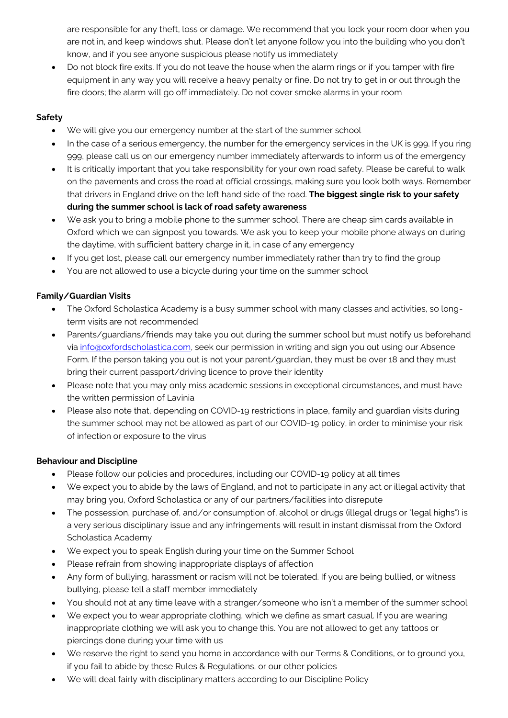are responsible for any theft, loss or damage. We recommend that you lock your room door when you are not in, and keep windows shut. Please don't let anyone follow you into the building who you don't know, and if you see anyone suspicious please notify us immediately

 Do not block fire exits. If you do not leave the house when the alarm rings or if you tamper with fire equipment in any way you will receive a heavy penalty or fine. Do not try to get in or out through the fire doors; the alarm will go off immediately. Do not cover smoke alarms in your room

### **Safety**

- We will give you our emergency number at the start of the summer school
- In the case of a serious emergency, the number for the emergency services in the UK is 999. If you ring 999, please call us on our emergency number immediately afterwards to inform us of the emergency
- It is critically important that you take responsibility for your own road safety. Please be careful to walk on the pavements and cross the road at official crossings, making sure you look both ways. Remember that drivers in England drive on the left hand side of the road. **The biggest single risk to your safety during the summer school is lack of road safety awareness**
- We ask you to bring a mobile phone to the summer school. There are cheap sim cards available in Oxford which we can signpost you towards. We ask you to keep your mobile phone always on during the daytime, with sufficient battery charge in it, in case of any emergency
- If you get lost, please call our emergency number immediately rather than try to find the group
- You are not allowed to use a bicycle during your time on the summer school

### **Family/Guardian Visits**

- The Oxford Scholastica Academy is a busy summer school with many classes and activities, so longterm visits are not recommended
- Parents/guardians/friends may take you out during the summer school but must notify us beforehand via [info@oxfordscholastica.com,](mailto:info@oxfordscholastica.com) seek our permission in writing and sign you out using our Absence Form. If the person taking you out is not your parent/guardian, they must be over 18 and they must bring their current passport/driving licence to prove their identity
- Please note that you may only miss academic sessions in exceptional circumstances, and must have the written permission of Lavinia
- Please also note that, depending on COVID-19 restrictions in place, family and guardian visits during the summer school may not be allowed as part of our COVID-19 policy, in order to minimise your risk of infection or exposure to the virus

### **Behaviour and Discipline**

- Please follow our policies and procedures, including our COVID-19 policy at all times
- We expect you to abide by the laws of England, and not to participate in any act or illegal activity that may bring you, Oxford Scholastica or any of our partners/facilities into disrepute
- The possession, purchase of, and/or consumption of, alcohol or drugs (illegal drugs or "legal highs") is a very serious disciplinary issue and any infringements will result in instant dismissal from the Oxford Scholastica Academy
- We expect you to speak English during your time on the Summer School
- Please refrain from showing inappropriate displays of affection
- Any form of bullying, harassment or racism will not be tolerated. If you are being bullied, or witness bullying, please tell a staff member immediately
- You should not at any time leave with a stranger/someone who isn't a member of the summer school
- We expect you to wear appropriate clothing, which we define as smart casual. If you are wearing inappropriate clothing we will ask you to change this. You are not allowed to get any tattoos or piercings done during your time with us
- We reserve the right to send you home in accordance with our Terms & Conditions, or to ground you, if you fail to abide by these Rules & Regulations, or our other policies
- We will deal fairly with disciplinary matters according to our Discipline Policy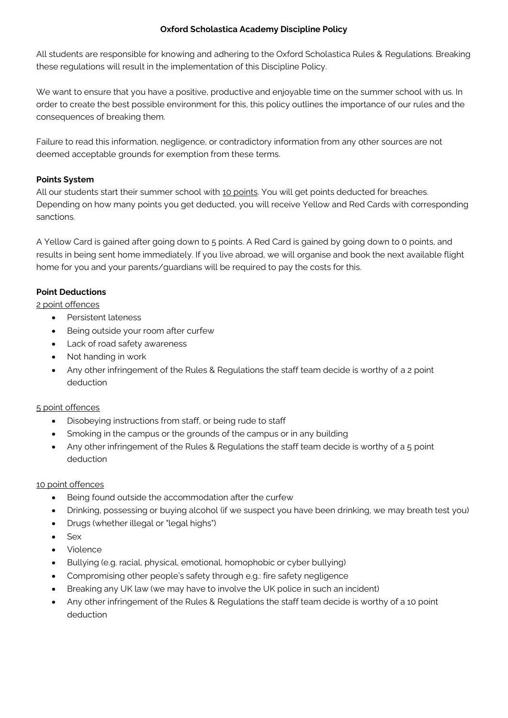#### **Oxford Scholastica Academy Discipline Policy**

All students are responsible for knowing and adhering to the Oxford Scholastica Rules & Regulations. Breaking these regulations will result in the implementation of this Discipline Policy.

We want to ensure that you have a positive, productive and enjoyable time on the summer school with us. In order to create the best possible environment for this, this policy outlines the importance of our rules and the consequences of breaking them.

Failure to read this information, negligence, or contradictory information from any other sources are not deemed acceptable grounds for exemption from these terms.

### **Points System**

All our students start their summer school with 10 points. You will get points deducted for breaches. Depending on how many points you get deducted, you will receive Yellow and Red Cards with corresponding sanctions.

A Yellow Card is gained after going down to 5 points. A Red Card is gained by going down to 0 points, and results in being sent home immediately. If you live abroad, we will organise and book the next available flight home for you and your parents/guardians will be required to pay the costs for this.

### **Point Deductions**

### 2 point offences

- Persistent lateness
- Being outside your room after curfew
- Lack of road safety awareness
- Not handing in work
- Any other infringement of the Rules & Regulations the staff team decide is worthy of a 2 point deduction

### 5 point offences

- Disobeying instructions from staff, or being rude to staff
- Smoking in the campus or the grounds of the campus or in any building
- Any other infringement of the Rules & Regulations the staff team decide is worthy of a 5 point deduction

### 10 point offences

- Being found outside the accommodation after the curfew
- Drinking, possessing or buying alcohol (if we suspect you have been drinking, we may breath test you)
- Drugs (whether illegal or "legal highs")
- Sex
- Violence
- Bullying (e.g. racial, physical, emotional, homophobic or cyber bullying)
- Compromising other people's safety through e.g.: fire safety negligence
- Breaking any UK law (we may have to involve the UK police in such an incident)
- Any other infringement of the Rules & Regulations the staff team decide is worthy of a 10 point deduction